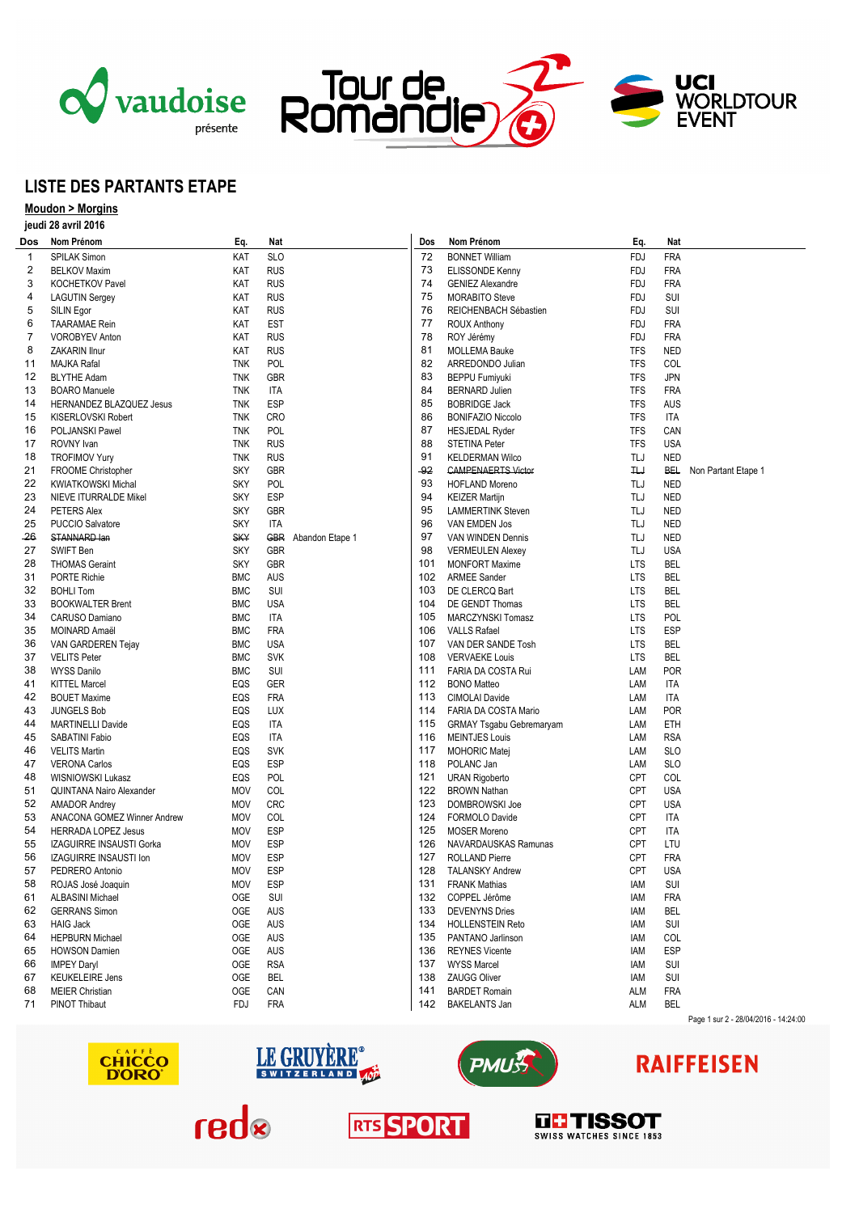





### **LISTE DES PARTANTS ETAPE**

### **Moudon > Morgins jeudi 28 avril 2016**

| Dos          | Nom Prénom                    | Eq.        | Nat        |                     | Dos   | Nom Prénom                   | Eq.           | Nat        |                                      |
|--------------|-------------------------------|------------|------------|---------------------|-------|------------------------------|---------------|------------|--------------------------------------|
| $\mathbf{1}$ | <b>SPILAK Simon</b>           | KAT        | <b>SLO</b> |                     | 72    | <b>BONNET William</b>        | <b>FDJ</b>    | <b>FRA</b> |                                      |
| 2            | <b>BELKOV Maxim</b>           | KAT        | <b>RUS</b> |                     | 73    | ELISSONDE Kenny              | <b>FDJ</b>    | <b>FRA</b> |                                      |
| 3            | <b>KOCHETKOV Pavel</b>        | KAT        | <b>RUS</b> |                     | 74    | <b>GENIEZ Alexandre</b>      | <b>FDJ</b>    | <b>FRA</b> |                                      |
| 4            | <b>LAGUTIN Sergey</b>         | KAT        | <b>RUS</b> |                     | 75    | <b>MORABITO Steve</b>        | FDJ           | SUI        |                                      |
| 5            | SILIN Egor                    | KAT        | <b>RUS</b> |                     | 76    | REICHENBACH Sébastien        | FDJ           | SUI        |                                      |
| 6            | <b>TAARAMAE Rein</b>          | KAT        | <b>EST</b> |                     | 77    | <b>ROUX Anthony</b>          | FDJ           | <b>FRA</b> |                                      |
| 7            | <b>VOROBYEV Anton</b>         | KAT        | <b>RUS</b> |                     | 78    | ROY Jérémy                   | FDJ           | <b>FRA</b> |                                      |
| 8            | ZAKARIN Ilnur                 | KAT        | <b>RUS</b> |                     | 81    | <b>MOLLEMA Bauke</b>         | <b>TFS</b>    | <b>NED</b> |                                      |
| 11           | MAJKA Rafal                   | <b>TNK</b> | POL        |                     | 82    | ARREDONDO Julian             | <b>TFS</b>    | COL        |                                      |
| 12           | <b>BLYTHE Adam</b>            | TNK        | GBR        |                     | 83    | <b>BEPPU Fumiyuki</b>        | TFS           | <b>JPN</b> |                                      |
| 13           |                               | <b>TNK</b> | ITA        |                     | 84    | <b>BERNARD Julien</b>        | <b>TFS</b>    | <b>FRA</b> |                                      |
|              | <b>BOARO Manuele</b>          |            |            |                     | 85    |                              |               |            |                                      |
| 14           | HERNANDEZ BLAZQUEZ Jesus      | <b>TNK</b> | <b>ESP</b> |                     |       | <b>BOBRIDGE Jack</b>         | TFS           | AUS        |                                      |
| 15           | KISERLOVSKI Robert            | <b>TNK</b> | <b>CRO</b> |                     | 86    | <b>BONIFAZIO Niccolo</b>     | TFS           | <b>ITA</b> |                                      |
| 16           | POLJANSKI Pawel               | <b>TNK</b> | POL        |                     | 87    | <b>HESJEDAL Ryder</b>        | TFS           | CAN        |                                      |
| 17           | ROVNY Ivan                    | <b>TNK</b> | <b>RUS</b> |                     | 88    | <b>STETINA Peter</b>         | <b>TFS</b>    | <b>USA</b> |                                      |
| 18           | <b>TROFIMOV Yury</b>          | TNK        | <b>RUS</b> |                     | 91    | <b>KELDERMAN Wilco</b>       | TLJ           | <b>NED</b> |                                      |
| 21           | FROOME Christopher            | <b>SKY</b> | GBR        |                     | $-92$ | <b>CAMPENAERTS Victor</b>    | $H_{\rm tot}$ | <b>BEL</b> | Non Partant Etape 1                  |
| 22           | <b>KWIATKOWSKI Michal</b>     | <b>SKY</b> | POL        |                     | 93    | <b>HOFLAND Moreno</b>        | TLJ           | <b>NED</b> |                                      |
| 23           | NIEVE ITURRALDE Mikel         | <b>SKY</b> | <b>ESP</b> |                     | 94    | <b>KEIZER Martijn</b>        | TLJ           | <b>NED</b> |                                      |
| 24           | PETERS Alex                   | <b>SKY</b> | <b>GBR</b> |                     | 95    | <b>LAMMERTINK Steven</b>     | TLJ           | <b>NED</b> |                                      |
| 25           | <b>PUCCIO Salvatore</b>       | <b>SKY</b> | ITA        |                     | 96    | VAN EMDEN Jos                | TLJ           | <b>NED</b> |                                      |
| -26          | STANNARD lan                  | <b>SKY</b> |            | GBR Abandon Etape 1 | 97    | VAN WINDEN Dennis            | TLJ           | <b>NED</b> |                                      |
| 27           | SWIFT Ben                     | <b>SKY</b> | <b>GBR</b> |                     | 98    | <b>VERMEULEN Alexey</b>      | TLJ           | <b>USA</b> |                                      |
| 28           | <b>THOMAS Geraint</b>         | <b>SKY</b> | <b>GBR</b> |                     | 101   | <b>MONFORT Maxime</b>        | <b>LTS</b>    | <b>BEL</b> |                                      |
| 31           | <b>PORTE Richie</b>           | <b>BMC</b> | <b>AUS</b> |                     | 102   | <b>ARMEE Sander</b>          | <b>LTS</b>    | <b>BEL</b> |                                      |
| 32           | <b>BOHLI Tom</b>              | <b>BMC</b> | SUI        |                     | 103   | DE CLERCQ Bart               | <b>LTS</b>    | <b>BEL</b> |                                      |
| 33           | <b>BOOKWALTER Brent</b>       | <b>BMC</b> | <b>USA</b> |                     | 104   | DE GENDT Thomas              | <b>LTS</b>    | <b>BEL</b> |                                      |
| 34           | CARUSO Damiano                | <b>BMC</b> | ITA        |                     | 105   | MARCZYNSKI Tomasz            | <b>LTS</b>    | POL        |                                      |
| 35           | MOINARD Amaël                 | <b>BMC</b> | <b>FRA</b> |                     | 106   | <b>VALLS Rafael</b>          | <b>LTS</b>    | <b>ESP</b> |                                      |
| 36           | VAN GARDEREN Tejay            | <b>BMC</b> | <b>USA</b> |                     | 107   | VAN DER SANDE Tosh           | <b>LTS</b>    | BEL        |                                      |
| 37           | <b>VELITS Peter</b>           | <b>BMC</b> | <b>SVK</b> |                     | 108   | <b>VERVAEKE Louis</b>        | <b>LTS</b>    | <b>BEL</b> |                                      |
| 38           | <b>WYSS Danilo</b>            | <b>BMC</b> | SUI        |                     | 111   | FARIA DA COSTA Rui           | LAM           | <b>POR</b> |                                      |
| 41           | <b>KITTEL Marcel</b>          | EQS        | <b>GER</b> |                     |       | 112 BONO Matteo              | LAM           | <b>ITA</b> |                                      |
| 42           | <b>BOUET Maxime</b>           | EQS        | <b>FRA</b> |                     | 113   | CIMOLAI Davide               | LAM           | ITA        |                                      |
| 43           | <b>JUNGELS Bob</b>            | EQS        | LUX        |                     |       | 114 FARIA DA COSTA Mario     | LAM           | <b>POR</b> |                                      |
| 44           | <b>MARTINELLI Davide</b>      | EQS        | <b>ITA</b> |                     |       | 115 GRMAY Tsgabu Gebremaryam | LAM           | ETH        |                                      |
| 45           | SABATINI Fabio                | EQS        | ITA        |                     | 116   | <b>MEINTJES Louis</b>        | LAM           | <b>RSA</b> |                                      |
| 46           | <b>VELITS Martin</b>          | EQS        | SVK        |                     |       | 117 MOHORIC Matej            | LAM           | <b>SLO</b> |                                      |
| 47           | <b>VERONA Carlos</b>          | EQS        | <b>ESP</b> |                     | 118   | POLANC Jan                   | LAM           | <b>SLO</b> |                                      |
| 48           | WISNIOWSKI Lukasz             | EQS        | POL        |                     |       | 121 URAN Rigoberto           | <b>CPT</b>    | COL        |                                      |
| 51           | QUINTANA Nairo Alexander      | <b>MOV</b> | COL        |                     |       | 122 BROWN Nathan             | <b>CPT</b>    | <b>USA</b> |                                      |
| 52           | <b>AMADOR Andrey</b>          | <b>MOV</b> | <b>CRC</b> |                     | 123   | DOMBROWSKI Joe               | <b>CPT</b>    | <b>USA</b> |                                      |
| 53           | ANACONA GOMEZ Winner Andrew   | <b>MOV</b> | COL        |                     |       | 124 FORMOLO Davide           | <b>CPT</b>    | ITA        |                                      |
| 54           | <b>HERRADA LOPEZ Jesus</b>    | <b>MOV</b> | <b>ESP</b> |                     | 125   | <b>MOSER Moreno</b>          | <b>CPT</b>    | ITA        |                                      |
| 55           | IZAGUIRRE INSAUSTI Gorka      | <b>MOV</b> | <b>ESP</b> |                     | 126   | NAVARDAUSKAS Ramunas         | <b>CPT</b>    | LTU        |                                      |
| 56           | <b>IZAGUIRRE INSAUSTI Ion</b> | <b>MOV</b> | <b>ESP</b> |                     | 127   | <b>ROLLAND Pierre</b>        | <b>CPT</b>    | <b>FRA</b> |                                      |
| 57           | PEDRERO Antonio               | <b>MOV</b> | <b>ESP</b> |                     | 128   | TALANSKY Andrew              | <b>CPT</b>    | <b>USA</b> |                                      |
|              |                               | MOV        | <b>ESP</b> |                     | 131   |                              |               | SUI        |                                      |
| 58           | ROJAS José Joaquin            |            |            |                     |       | <b>FRANK Mathias</b>         | iam           |            |                                      |
| 61           | <b>ALBASINI Michael</b>       | OGE        | SUI        |                     |       | 132 COPPEL Jérôme            | iam           | <b>FRA</b> |                                      |
| 62           | <b>GERRANS Simon</b>          | OGE        | AUS        |                     | 133   | <b>DEVENYNS Dries</b>        | IAM           | BEL        |                                      |
| 63           | <b>HAIG Jack</b>              | OGE        | AUS        |                     |       | 134 HOLLENSTEIN Reto         | IAM           | SUI        |                                      |
| 64           | <b>HEPBURN Michael</b>        | OGE        | <b>AUS</b> |                     |       | 135 PANTANO Jarlinson        | iam           | COL        |                                      |
| 65           | <b>HOWSON Damien</b>          | OGE        | AUS        |                     |       | 136 REYNES Vicente           | iam           | <b>ESP</b> |                                      |
| 66           | <b>IMPEY Daryl</b>            | OGE        | <b>RSA</b> |                     |       | 137 WYSS Marcel              | IAM           | SUI        |                                      |
| 67           | <b>KEUKELEIRE Jens</b>        | OGE        | <b>BEL</b> |                     |       | 138 ZAUGG Oliver             | iam           | SUI        |                                      |
| 68           | <b>MEIER Christian</b>        | OGE        | CAN        |                     | 141   | <b>BARDET Romain</b>         | ALM           | <b>FRA</b> |                                      |
| 71           | PINOT Thibaut                 | FDJ        | <b>FRA</b> |                     | 142   | <b>BAKELANTS Jan</b>         | ALM           | <b>BEL</b> | Page 1 sur 2 - 28/04/2016 - 14:24:00 |
|              |                               |            |            |                     |       |                              |               |            |                                      |







# **RAIFFEISEN**